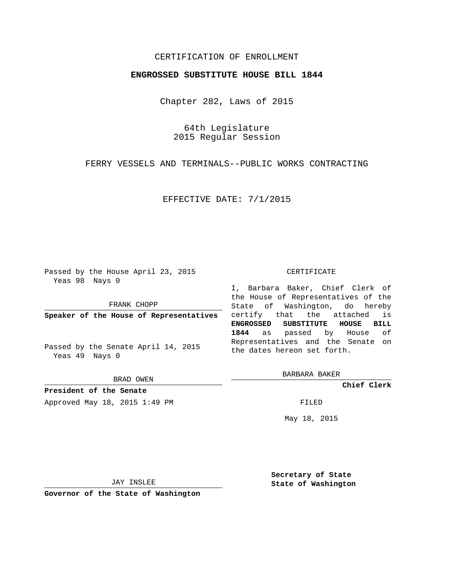## CERTIFICATION OF ENROLLMENT

## **ENGROSSED SUBSTITUTE HOUSE BILL 1844**

Chapter 282, Laws of 2015

64th Legislature 2015 Regular Session

FERRY VESSELS AND TERMINALS--PUBLIC WORKS CONTRACTING

EFFECTIVE DATE: 7/1/2015

Passed by the House April 23, 2015 Yeas 98 Nays 0

FRANK CHOPP

**Speaker of the House of Representatives**

Passed by the Senate April 14, 2015 Yeas 49 Nays 0

BRAD OWEN

**President of the Senate** Approved May 18, 2015 1:49 PM FILED

#### CERTIFICATE

I, Barbara Baker, Chief Clerk of the House of Representatives of the State of Washington, do hereby certify that the attached is **ENGROSSED SUBSTITUTE HOUSE BILL 1844** as passed by House of Representatives and the Senate on the dates hereon set forth.

BARBARA BAKER

**Chief Clerk**

May 18, 2015

JAY INSLEE

**Governor of the State of Washington**

**Secretary of State State of Washington**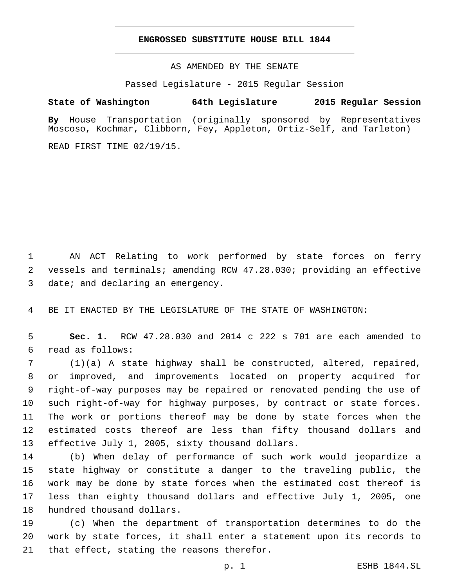### **ENGROSSED SUBSTITUTE HOUSE BILL 1844**

AS AMENDED BY THE SENATE

Passed Legislature - 2015 Regular Session

# **State of Washington 64th Legislature 2015 Regular Session**

**By** House Transportation (originally sponsored by Representatives Moscoso, Kochmar, Clibborn, Fey, Appleton, Ortiz-Self, and Tarleton)

READ FIRST TIME 02/19/15.

1 AN ACT Relating to work performed by state forces on ferry 2 vessels and terminals; amending RCW 47.28.030; providing an effective 3 date; and declaring an emergency.

4 BE IT ENACTED BY THE LEGISLATURE OF THE STATE OF WASHINGTON:

5 **Sec. 1.** RCW 47.28.030 and 2014 c 222 s 701 are each amended to read as follows:6

 (1)(a) A state highway shall be constructed, altered, repaired, or improved, and improvements located on property acquired for right-of-way purposes may be repaired or renovated pending the use of such right-of-way for highway purposes, by contract or state forces. The work or portions thereof may be done by state forces when the estimated costs thereof are less than fifty thousand dollars and 13 effective July 1, 2005, sixty thousand dollars.

 (b) When delay of performance of such work would jeopardize a state highway or constitute a danger to the traveling public, the work may be done by state forces when the estimated cost thereof is less than eighty thousand dollars and effective July 1, 2005, one 18 hundred thousand dollars.

19 (c) When the department of transportation determines to do the 20 work by state forces, it shall enter a statement upon its records to 21 that effect, stating the reasons therefor.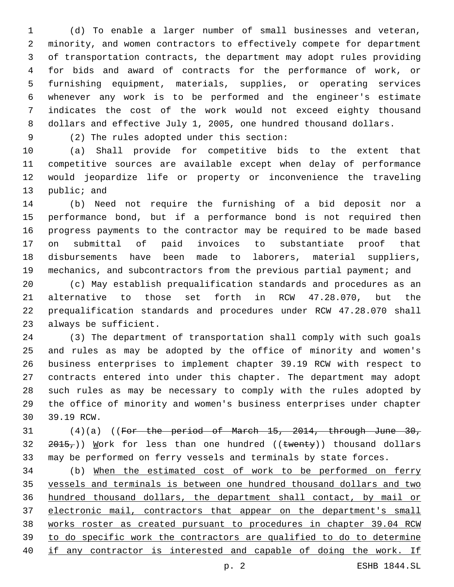(d) To enable a larger number of small businesses and veteran, minority, and women contractors to effectively compete for department of transportation contracts, the department may adopt rules providing for bids and award of contracts for the performance of work, or furnishing equipment, materials, supplies, or operating services whenever any work is to be performed and the engineer's estimate indicates the cost of the work would not exceed eighty thousand dollars and effective July 1, 2005, one hundred thousand dollars.

(2) The rules adopted under this section:9

 (a) Shall provide for competitive bids to the extent that competitive sources are available except when delay of performance would jeopardize life or property or inconvenience the traveling 13 public; and

 (b) Need not require the furnishing of a bid deposit nor a performance bond, but if a performance bond is not required then progress payments to the contractor may be required to be made based on submittal of paid invoices to substantiate proof that disbursements have been made to laborers, material suppliers, mechanics, and subcontractors from the previous partial payment; and

 (c) May establish prequalification standards and procedures as an alternative to those set forth in RCW 47.28.070, but the prequalification standards and procedures under RCW 47.28.070 shall 23 always be sufficient.

 (3) The department of transportation shall comply with such goals and rules as may be adopted by the office of minority and women's business enterprises to implement chapter 39.19 RCW with respect to contracts entered into under this chapter. The department may adopt such rules as may be necessary to comply with the rules adopted by the office of minority and women's business enterprises under chapter 30 39.19 RCW.

31 (4)(a) ((For the period of March 15, 2014, through June 30,  $2015<sub>7</sub>$ )) Work for less than one hundred ((twenty)) thousand dollars may be performed on ferry vessels and terminals by state forces.

 (b) When the estimated cost of work to be performed on ferry vessels and terminals is between one hundred thousand dollars and two hundred thousand dollars, the department shall contact, by mail or electronic mail, contractors that appear on the department's small works roster as created pursuant to procedures in chapter 39.04 RCW to do specific work the contractors are qualified to do to determine if any contractor is interested and capable of doing the work. If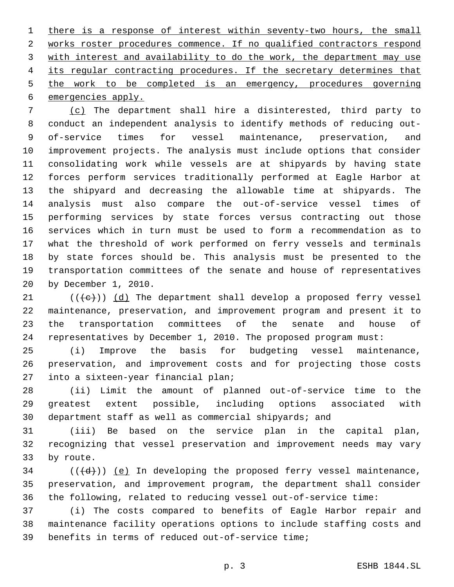1 there is a response of interest within seventy-two hours, the small works roster procedures commence. If no qualified contractors respond with interest and availability to do the work, the department may use its regular contracting procedures. If the secretary determines that the work to be completed is an emergency, procedures governing 6 emergencies apply.

 (c) The department shall hire a disinterested, third party to conduct an independent analysis to identify methods of reducing out- of-service times for vessel maintenance, preservation, and improvement projects. The analysis must include options that consider consolidating work while vessels are at shipyards by having state forces perform services traditionally performed at Eagle Harbor at the shipyard and decreasing the allowable time at shipyards. The analysis must also compare the out-of-service vessel times of performing services by state forces versus contracting out those services which in turn must be used to form a recommendation as to what the threshold of work performed on ferry vessels and terminals by state forces should be. This analysis must be presented to the transportation committees of the senate and house of representatives 20 by December 1, 2010.

 $(1 + e)$ ) (d) The department shall develop a proposed ferry vessel maintenance, preservation, and improvement program and present it to the transportation committees of the senate and house of representatives by December 1, 2010. The proposed program must:

 (i) Improve the basis for budgeting vessel maintenance, preservation, and improvement costs and for projecting those costs 27 into a sixteen-year financial plan;

 (ii) Limit the amount of planned out-of-service time to the greatest extent possible, including options associated with department staff as well as commercial shipyards; and

 (iii) Be based on the service plan in the capital plan, recognizing that vessel preservation and improvement needs may vary 33 by route.

 ( $(\overline{\{d\}})$ ) (e) In developing the proposed ferry vessel maintenance, preservation, and improvement program, the department shall consider the following, related to reducing vessel out-of-service time:

 (i) The costs compared to benefits of Eagle Harbor repair and maintenance facility operations options to include staffing costs and 39 benefits in terms of reduced out-of-service time;